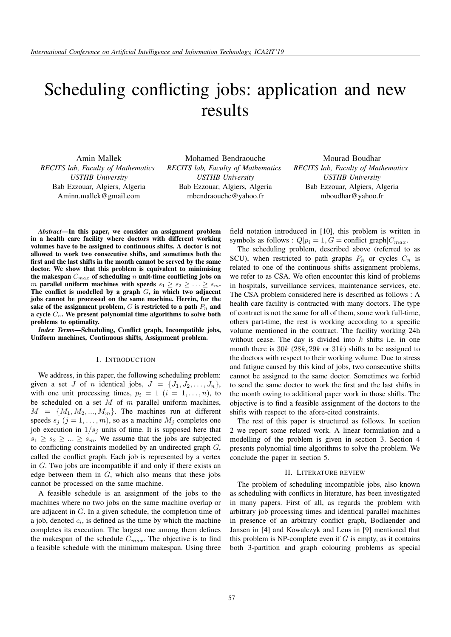# Scheduling conflicting jobs: application and new results

*RECITS lab, Faculty of Mathematics USTHB University* Bab Ezzouar, Algiers, Algeria Aminn.mallek@gmail.com Amin Mallek

Mohamed Bendraouche *RECITS lab, Faculty of Mathematics USTHB University* Bab Ezzouar, Algiers, Algeria mbendraouche@yahoo.fr

Mourad Boudhar *RECITS lab, Faculty of Mathematics USTHB University* Bab Ezzouar, Algiers, Algeria mboudhar@yahoo.fr

*Abstract*—In this paper, we consider an assignment problem in a health care facility where doctors with different working volumes have to be assigned to continuous shifts. A doctor is not allowed to work two consecutive shifts, and sometimes both the first and the last shifts in the month cannot be served by the same doctor. We show that this problem is equivalent to minimising the makespan  $C_{max}$  of scheduling n unit-time conflicting jobs on m parallel uniform machines with speeds  $s_1 \geq s_2 \geq \ldots \geq s_m$ . The conflict is modelled by a graph  $G$ , in which two adjacent jobs cannot be processed on the same machine. Herein, for the sake of the assignment problem,  $G$  is restricted to a path  $P_n$  and a cycle  $C_n$ . We present polynomial time algorithms to solve both problems to optimality.

*Index Terms*—Scheduling, Conflict graph, Incompatible jobs, Uniform machines, Continuous shifts, Assignment problem.

## I. INTRODUCTION

We address, in this paper, the following scheduling problem: given a set J of n identical jobs,  $J = \{J_1, J_2, \ldots, J_n\},\$ with one unit processing times,  $p_i = 1$   $(i = 1, \ldots, n)$ , to be scheduled on a set  $M$  of  $m$  parallel uniform machines,  $M = \{M_1, M_2, ..., M_m\}$ . The machines run at different speeds  $s_j$   $(j = 1, ..., m)$ , so as a machine  $M_j$  completes one job execution in  $1/s_j$  units of time. It is supposed here that  $s_1 \geq s_2 \geq \ldots \geq s_m$ . We assume that the jobs are subjected to conflicting constraints modelled by an undirected graph  $G$ , called the conflict graph. Each job is represented by a vertex in G. Two jobs are incompatible if and only if there exists an edge between them in  $G$ , which also means that these jobs cannot be processed on the same machine.

A feasible schedule is an assignment of the jobs to the machines where no two jobs on the same machine overlap or are adjacent in G. In a given schedule, the completion time of a job, denoted  $c_i$ , is defined as the time by which the machine completes its execution. The largest one among them defines the makespan of the schedule  $C_{max}$ . The objective is to find a feasible schedule with the minimum makespan. Using three

field notation introduced in [10], this problem is written in symbols as follows :  $Q|p_i = 1, G = \text{conflict graph}|C_{max}$ .

The scheduling problem, described above (referred to as SCU), when restricted to path graphs  $P_n$  or cycles  $C_n$  is related to one of the continuous shifts assignment problems, we refer to as CSA. We often encounter this kind of problems in hospitals, surveillance services, maintenance services, etc. The CSA problem considered here is described as follows : A health care facility is contracted with many doctors. The type of contract is not the same for all of them, some work full-time, others part-time, the rest is working according to a specific volume mentioned in the contract. The facility working 24h without cease. The day is divided into  $k$  shifts i.e. in one month there is  $30k$  (28k, 29k or  $31k$ ) shifts to be assigned to the doctors with respect to their working volume. Due to stress and fatigue caused by this kind of jobs, two consecutive shifts cannot be assigned to the same doctor. Sometimes we forbid to send the same doctor to work the first and the last shifts in the month owing to additional paper work in those shifts. The objective is to find a feasible assignment of the doctors to the shifts with respect to the afore-cited constraints.

The rest of this paper is structured as follows. In section 2 we report some related work. A linear formulation and a modelling of the problem is given in section 3. Section 4 presents polynomial time algorithms to solve the problem. We conclude the paper in section 5.

#### II. LITERATURE REVIEW

The problem of scheduling incompatible jobs, also known as scheduling with conflicts in literature, has been investigated in many papers. First of all, as regards the problem with arbitrary job processing times and identical parallel machines in presence of an arbitrary conflict graph, Bodlaender and Jansen in [4] and Kowalczyk and Leus in [9] mentioned that this problem is NP-complete even if  $G$  is empty, as it contains both 3-partition and graph colouring problems as special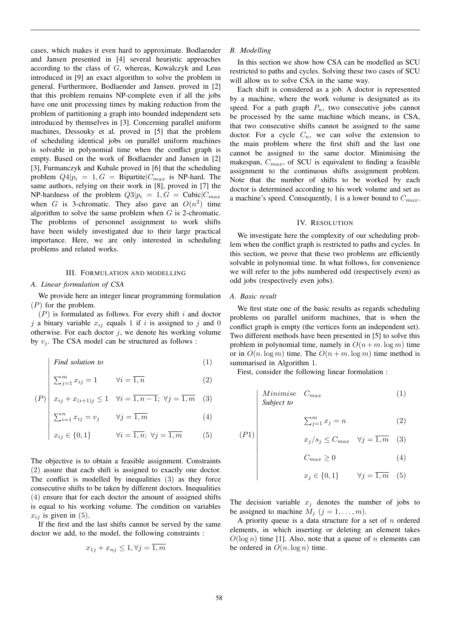cases, which makes it even hard to approximate. Bodlaender and Jansen presented in [4] several heuristic approaches according to the class of  $G$ , whereas, Kowalczyk and Leus introduced in [9] an exact algorithm to solve the problem in general. Furthermore, Bodlaender and Jansen. proved in [2] that this problem remains NP-complete even if all the jobs have one unit processing times by making reduction from the problem of partitioning a graph into bounded independent sets introduced by themselves in [3]. Concerning parallel uniform machines, Dessouky et al. proved in [5] that the problem of scheduling identical jobs on parallel uniform machines is solvable in polynomial time when the conflict graph is empty. Based on the work of Bodlaender and Jansen in [2] [3], Furmanczyk and Kubale proved in [6] that the scheduling problem  $Q4|p_i = 1, G =$  Bipartite  $|C_{max}|$  is NP-hard. The same authors, relying on their work in [8], proved in [7] the NP-hardness of the problem  $Q3|p_i = 1, G = \text{Cubic}|C_{max}$ when G is 3-chromatic. They also gave an  $O(n^2)$  time algorithm to solve the same problem when  $G$  is 2-chromatic. The problems of personnel assignment to work shifts have been widely investigated due to their large practical importance. Here, we are only interested in scheduling problems and related works.

## III. FORMULATION AND MODELLING

## *A. Linear formulation of CSA*

 $\overline{\phantom{a}}$  $\overline{\phantom{a}}$  $\overline{\phantom{a}}$  $\overline{\phantom{a}}$  $\overline{\phantom{a}}$ I  $\overline{\phantom{a}}$ 

 $\overline{\phantom{a}}$  $\overline{\phantom{a}}$  $\overline{\phantom{a}}$  $\overline{\phantom{a}}$  $\overline{\phantom{a}}$  $\overline{\phantom{a}}$ 

We provide here an integer linear programming formulation  $(P)$  for the problem.

 $(P)$  is formulated as follows. For every shift i and doctor j a binary variable  $x_{ij}$  equals 1 if i is assigned to j and 0 otherwise. For each doctor  $j$ , we denote his working volume by  $v_i$ . The CSA model can be structured as follows :

$$
Find solution to \t(1)
$$

$$
\sum_{j=1}^{m} x_{ij} = 1 \qquad \forall i = \overline{1, n} \tag{2}
$$

$$
(P) \begin{array}{|l} x_{ij} + x_{(i+1)j} \le 1 & \forall i = \overline{1, n-1}; \ \forall j = \overline{1, m} \end{array} (3)
$$

$$
\sum_{i=1}^{n} x_{ij} = v_j \qquad \forall j = \overline{1, m} \tag{4}
$$

$$
x_{ij} \in \{0, 1\} \qquad \forall i = \overline{1, n}; \ \forall j = \overline{1, m} \qquad (5)
$$

The objective is to obtain a feasible assignment. Constraints (2) assure that each shift is assigned to exactly one doctor. The conflict is modelled by inequalities (3) as they force consecutive shifts to be taken by different doctors. Inequalities (4) ensure that for each doctor the amount of assigned shifts is equal to his working volume. The condition on variables  $x_{ij}$  is given in (5).

If the first and the last shifts cannot be served by the same doctor we add, to the model, the following constraints :

$$
x_{1j} + x_{nj} \le 1, \forall j = 1, m
$$

#### *B. Modelling*

In this section we show how CSA can be modelled as SCU restricted to paths and cycles. Solving these two cases of SCU will allow us to solve CSA in the same way.

Each shift is considered as a job. A doctor is represented by a machine, where the work volume is designated as its speed. For a path graph  $P_n$ , two consecutive jobs cannot be processed by the same machine which means, in CSA, that two consecutive shifts cannot be assigned to the same doctor. For a cycle  $C_n$ , we can solve the extension to the main problem where the first shift and the last one cannot be assigned to the same doctor. Minimising the makespan,  $C_{max}$ , of SCU is equivalent to finding a feasible assignment to the continuous shifts assignment problem. Note that the number of shifts to be worked by each doctor is determined according to his work volume and set as a machine's speed. Consequently, 1 is a lower bound to  $C_{max}$ .

#### IV. RESOLUTION

We investigate here the complexity of our scheduling problem when the conflict graph is restricted to paths and cycles. In this section, we prove that these two problems are efficiently solvable in polynomial time. In what follows, for convenience we will refer to the jobs numbered odd (respectively even) as odd jobs (respectively even jobs).

#### *A. Basic result*

 $(P1)$ 

 $\overline{\phantom{a}}$  $\overline{\phantom{a}}$  $\overline{\phantom{a}}$  $\overline{\phantom{a}}$  $\overline{\phantom{a}}$  $\overline{\phantom{a}}$  $\overline{\phantom{a}}$  $\overline{\phantom{a}}$  $\overline{\phantom{a}}$ 

 $\overline{\phantom{a}}$  $\overline{\phantom{a}}$  $\overline{\phantom{a}}$  $\overline{\phantom{a}}$  $\overline{\phantom{a}}$  $\overline{\phantom{a}}$  $\overline{\phantom{a}}$ 

We first state one of the basic results as regards scheduling problems on parallel uniform machines, that is when the conflict graph is empty (the vertices form an independent set). Two different methods have been presented in [5] to solve this problem in polynomial time, namely in  $O(n+m)$  log m) time or in  $O(n \log m)$  time. The  $O(n + m \log m)$  time method is summarised in Algorithm 1.

First, consider the following linear formulation :

Minimise 
$$
C_{max}
$$
 (1)  
Subject to

$$
\sum_{j=1}^{m} x_j = n \tag{2}
$$

$$
x_j/s_j \le C_{max} \quad \forall j = \overline{1, m} \quad (3)
$$

$$
C_{max} \ge 0 \tag{4}
$$

$$
x_j \in \{0, 1\} \qquad \forall j = \overline{1, m} \quad (5)
$$

The decision variable  $x_i$  denotes the number of jobs to be assigned to machine  $M_j$   $(j = 1, \ldots, m)$ .

A priority queue is a data structure for a set of  $n$  ordered elements, in which inserting or deleting an element takes  $O(\log n)$  time [1]. Also, note that a queue of n elements can be ordered in  $O(n \log n)$  time.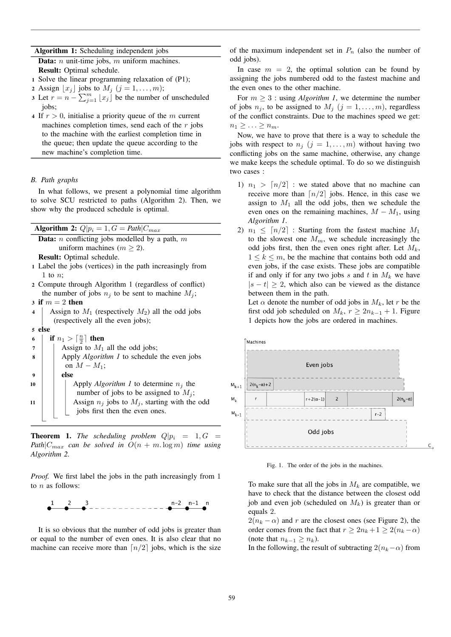## Algorithm 1: Scheduling independent jobs

**Data:**  $n$  unit-time jobs,  $m$  uniform machines. Result: Optimal schedule.

- 1 Solve the linear programming relaxation of (P1);
- 2 Assign  $|x_i|$  jobs to  $M_i$   $(j = 1, \ldots, m);$
- 3 Let  $r = n \sum_{j=1}^{m} \lfloor x_j \rfloor$  be the number of unscheduled jobs;
- 4 If  $r > 0$ , initialise a priority queue of the m current machines completion times, send each of the  $r$  jobs to the machine with the earliest completion time in the queue; then update the queue according to the new machine's completion time.

## *B. Path graphs*

In what follows, we present a polynomial time algorithm to solve SCU restricted to paths (Algorithm 2). Then, we show why the produced schedule is optimal.

| Algorithm 2: $Q p_i = 1, G = Path C_{max} $ |                                                                     |
|---------------------------------------------|---------------------------------------------------------------------|
|                                             | <b>Data:</b> <i>n</i> conflicting jobs modelled by a path, <i>m</i> |
|                                             | uniform machines $(m \ge 2)$ .                                      |
|                                             | Result: Optimal schedule.                                           |
|                                             | 1 Label the jobs (vertices) in the path increasingly from           |
|                                             | 1 to $n$ ;                                                          |
|                                             | 2 Compute through Algorithm 1 (regardless of conflict)              |
|                                             | the number of jobs $n_i$ to be sent to machine $M_i$ ;              |
|                                             | 3 if $m=2$ then                                                     |
| 4                                           | Assign to $M_1$ (respectively $M_2$ ) all the odd jobs              |
|                                             | (respectively all the even jobs);                                   |
|                                             | 5 else                                                              |
| 6                                           | if $n_1 > \lceil \frac{n}{2} \rceil$ then                           |
| 7                                           | Assign to $M_1$ all the odd jobs;                                   |
| 8                                           | Apply Algorithm 1 to schedule the even jobs                         |
|                                             | on $M - M_1$ ;                                                      |
| 9                                           | else                                                                |
| 10                                          | Apply <i>Algorithm 1</i> to determine $n_i$ the                     |
|                                             | number of jobs to be assigned to $M_i$ ;                            |
| 11                                          | Assign $n_j$ jobs to $M_j$ , starting with the odd                  |
|                                             | jobs first then the even ones.                                      |
|                                             |                                                                     |

**Theorem 1.** *The scheduling problem*  $Q|p_i = 1, G =$ *Path* $|C_{max}$  *can be solved in*  $O(n + m \log m)$  *time using Algorithm 2.*

*Proof.* We first label the jobs in the path increasingly from 1 to  $n$  as follows:



It is so obvious that the number of odd jobs is greater than or equal to the number of even ones. It is also clear that no machine can receive more than  $\lceil n/2 \rceil$  jobs, which is the size

of the maximum independent set in  $P_n$  (also the number of odd jobs).

In case  $m = 2$ , the optimal solution can be found by assigning the jobs numbered odd to the fastest machine and the even ones to the other machine.

For  $m \geq 3$ : using *Algorithm 1*, we determine the number of jobs  $n_j$ , to be assigned to  $M_j$   $(j = 1, \ldots, m)$ , regardless of the conflict constraints. Due to the machines speed we get:  $n_1 \geq \ldots \geq n_m$ .

Now, we have to prove that there is a way to schedule the jobs with respect to  $n_j$   $(j = 1, \ldots, m)$  without having two conflicting jobs on the same machine, otherwise, any change we make keeps the schedule optimal. To do so we distinguish two cases :

- 1)  $n_1 > [n/2]$  : we stated above that no machine can receive more than  $\lceil n/2 \rceil$  jobs. Hence, in this case we assign to  $M_1$  all the odd jobs, then we schedule the even ones on the remaining machines,  $M - M_1$ , using *Algorithm 1*.
- 2)  $n_1 \leq \lfloor n/2 \rfloor$  : Starting from the fastest machine  $M_1$ to the slowest one  $M_m$ , we schedule increasingly the odd jobs first, then the even ones right after. Let  $M_k$ ,  $1 \leq k \leq m$ , be the machine that contains both odd and even jobs, if the case exists. These jobs are compatible if and only if for any two jobs s and t in  $M_k$  we have  $|s - t| > 2$ , which also can be viewed as the distance between them in the path.

Let  $\alpha$  denote the number of odd jobs in  $M_k$ , let r be the first odd job scheduled on  $M_k$ ,  $r \geq 2n_{k-1} + 1$ . Figure 1 depicts how the jobs are ordered in machines.



Fig. 1. The order of the jobs in the machines.

To make sure that all the jobs in  $M_k$  are compatible, we have to check that the distance between the closest odd job and even job (scheduled on  $M_k$ ) is greater than or equals 2.

 $2(n_k - \alpha)$  and r are the closest ones (see Figure 2), the order comes from the fact that  $r \ge 2n_k + 1 \ge 2(n_k - \alpha)$ (note that  $n_{k-1} \geq n_k$ ).

In the following, the result of subtracting  $2(n_k-\alpha)$  from